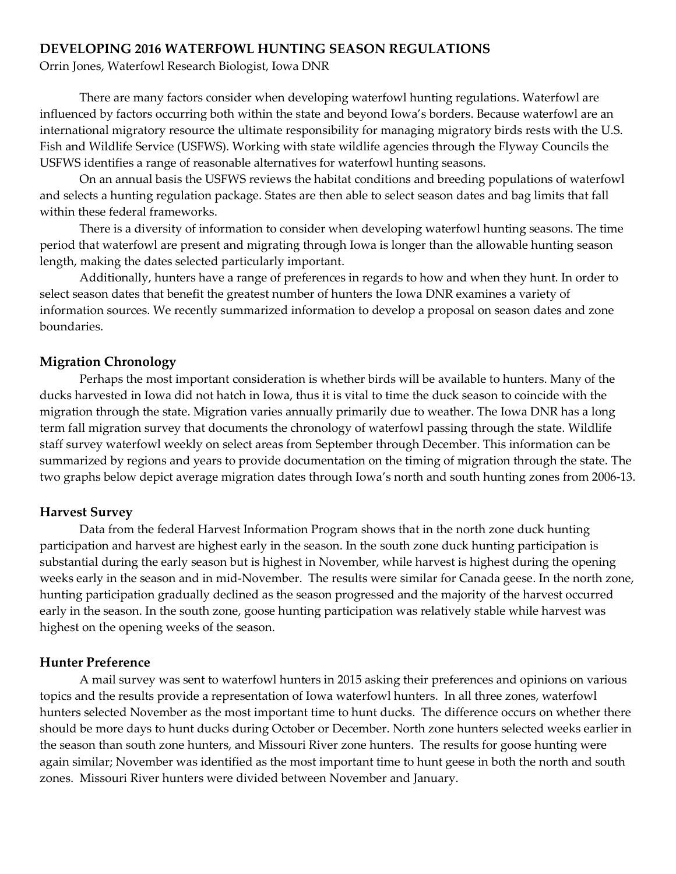## **DEVELOPING 2016 WATERFOWL HUNTING SEASON REGULATIONS**

Orrin Jones, Waterfowl Research Biologist, Iowa DNR

There are many factors consider when developing waterfowl hunting regulations. Waterfowl are influenced by factors occurring both within the state and beyond Iowa's borders. Because waterfowl are an international migratory resource the ultimate responsibility for managing migratory birds rests with the U.S. Fish and Wildlife Service (USFWS). Working with state wildlife agencies through the Flyway Councils the USFWS identifies a range of reasonable alternatives for waterfowl hunting seasons.

On an annual basis the USFWS reviews the habitat conditions and breeding populations of waterfowl and selects a hunting regulation package. States are then able to select season dates and bag limits that fall within these federal frameworks.

There is a diversity of information to consider when developing waterfowl hunting seasons. The time period that waterfowl are present and migrating through Iowa is longer than the allowable hunting season length, making the dates selected particularly important.

Additionally, hunters have a range of preferences in regards to how and when they hunt. In order to select season dates that benefit the greatest number of hunters the Iowa DNR examines a variety of information sources. We recently summarized information to develop a proposal on season dates and zone boundaries.

## **Migration Chronology**

Perhaps the most important consideration is whether birds will be available to hunters. Many of the ducks harvested in Iowa did not hatch in Iowa, thus it is vital to time the duck season to coincide with the migration through the state. Migration varies annually primarily due to weather. The Iowa DNR has a long term fall migration survey that documents the chronology of waterfowl passing through the state. Wildlife staff survey waterfowl weekly on select areas from September through December. This information can be summarized by regions and years to provide documentation on the timing of migration through the state. The two graphs below depict average migration dates through Iowa's north and south hunting zones from 2006-13.

## **Harvest Survey**

Data from the federal Harvest Information Program shows that in the north zone duck hunting participation and harvest are highest early in the season. In the south zone duck hunting participation is substantial during the early season but is highest in November, while harvest is highest during the opening weeks early in the season and in mid-November. The results were similar for Canada geese. In the north zone, hunting participation gradually declined as the season progressed and the majority of the harvest occurred early in the season. In the south zone, goose hunting participation was relatively stable while harvest was highest on the opening weeks of the season.

## **Hunter Preference**

A mail survey was sent to waterfowl hunters in 2015 asking their preferences and opinions on various topics and the results provide a representation of Iowa waterfowl hunters. In all three zones, waterfowl hunters selected November as the most important time to hunt ducks. The difference occurs on whether there should be more days to hunt ducks during October or December. North zone hunters selected weeks earlier in the season than south zone hunters, and Missouri River zone hunters. The results for goose hunting were again similar; November was identified as the most important time to hunt geese in both the north and south zones. Missouri River hunters were divided between November and January.